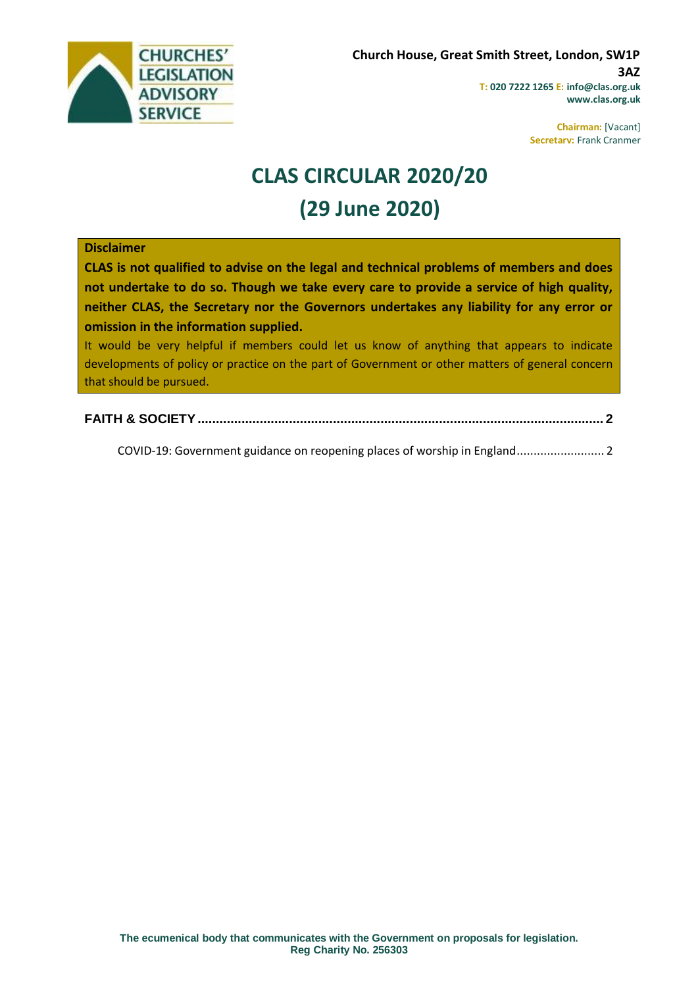

**Chairman:** [Vacant] **Secretary:** Frank Cranmer

# **CLAS CIRCULAR 2020/20 (29 June 2020)**

#### **Disclaimer**

**CLAS is not qualified to advise on the legal and technical problems of members and does not undertake to do so. Though we take every care to provide a service of high quality, neither CLAS, the Secretary nor the Governors undertakes any liability for any error or omission in the information supplied.**

It would be very helpful if members could let us know of anything that appears to indicate developments of policy or practice on the part of Government or other matters of general concern that should be pursued.

**[FAITH & SOCIETY...............................................................................................................](#page-1-0) 2**

[COVID-19: Government guidance on reopening places of worship in England..........................](#page-1-1) 2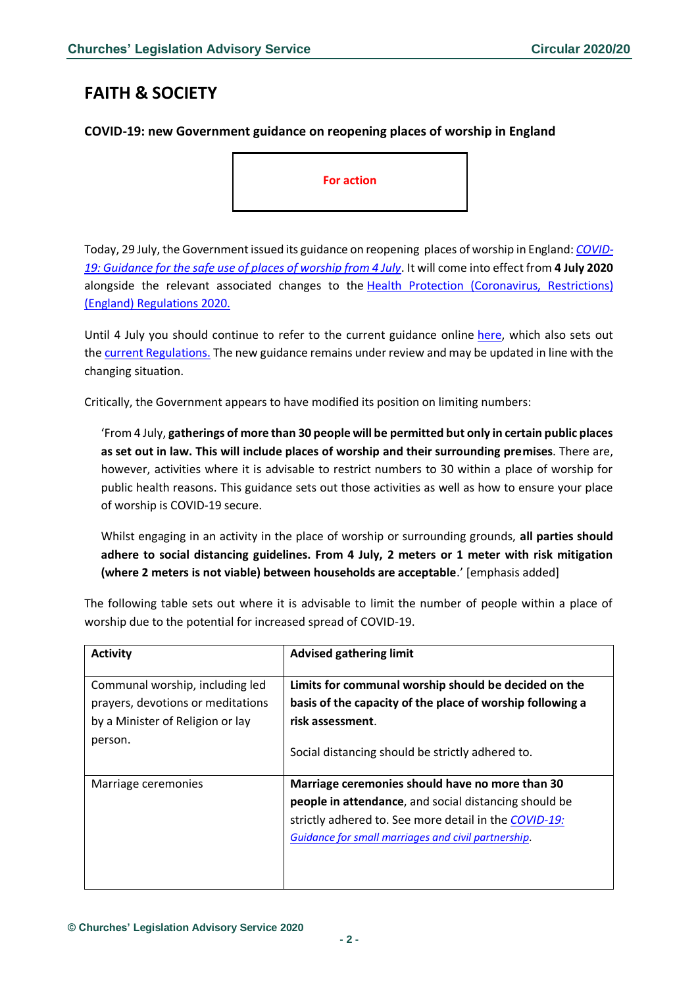## <span id="page-1-0"></span>**FAITH & SOCIETY**

### <span id="page-1-1"></span>**COVID-19: new Government guidance on reopening places of worship in England**

**For action**

Today, 29 July, the Government issued its guidance on reopening places of worship in England: *[COVID-](https://www.gov.uk/government/publications/covid-19-guidance-for-the-safe-use-of-places-of-worship-from-4-july/covid-19-guidance-for-the-safe-use-of-places-of-worship-from-4-july#changes-from-04-july)[19: Guidance for the safe use of places of worship from 4 July](https://www.gov.uk/government/publications/covid-19-guidance-for-the-safe-use-of-places-of-worship-from-4-july/covid-19-guidance-for-the-safe-use-of-places-of-worship-from-4-july#changes-from-04-july)*. It will come into effect from **4 July 2020** alongside the relevant associated changes to the [Health Protection \(Coronavirus, Restrictions\)](http://www.legislation.gov.uk/uksi/2020/350/made)  [\(England\) Regulations](http://www.legislation.gov.uk/uksi/2020/350/made) 2020.

Until 4 July you should continue to refer to the current guidance online [here,](https://www.gov.uk/government/publications/covid-19-guidance-for-the-safe-use-of-places-of-worship-during-the-pandemic/covid-19-guidance-for-the-safe-use-of-places-of-worship-during-the-pandemic) which also sets out the [current Regulations.](http://www.legislation.gov.uk/uksi/2020/350/made) The new guidance remains under review and may be updated in line with the changing situation.

Critically, the Government appears to have modified its position on limiting numbers:

'From 4 July, **gatherings of more than 30 people will be permitted but only in certain public places as set out in law. This will include places of worship and their surrounding premises**. There are, however, activities where it is advisable to restrict numbers to 30 within a place of worship for public health reasons. This guidance sets out those activities as well as how to ensure your place of worship is COVID-19 secure.

Whilst engaging in an activity in the place of worship or surrounding grounds, **all parties should adhere to social distancing guidelines. From 4 July, 2 meters or 1 meter with risk mitigation (where 2 meters is not viable) between households are acceptable**.' [emphasis added]

The following table sets out where it is advisable to limit the number of people within a place of worship due to the potential for increased spread of COVID-19.

| <b>Activity</b>                                                                                                     | <b>Advised gathering limit</b>                                                                                                                                                                                           |
|---------------------------------------------------------------------------------------------------------------------|--------------------------------------------------------------------------------------------------------------------------------------------------------------------------------------------------------------------------|
| Communal worship, including led<br>prayers, devotions or meditations<br>by a Minister of Religion or lay<br>person. | Limits for communal worship should be decided on the<br>basis of the capacity of the place of worship following a<br>risk assessment.<br>Social distancing should be strictly adhered to.                                |
| Marriage ceremonies                                                                                                 | Marriage ceremonies should have no more than 30<br>people in attendance, and social distancing should be<br>strictly adhered to. See more detail in the COVID-19:<br>Guidance for small marriages and civil partnership. |